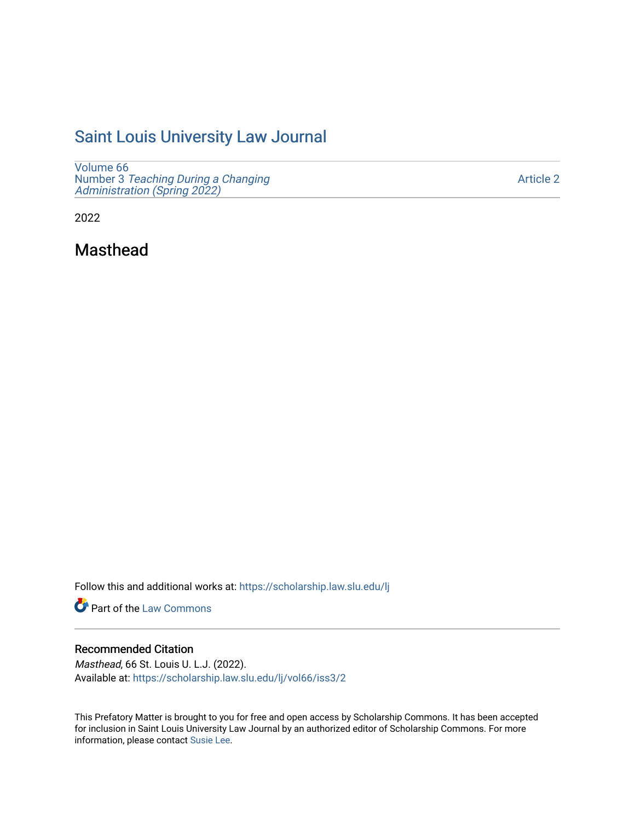# [Saint Louis University Law Journal](https://scholarship.law.slu.edu/lj)

[Volume 66](https://scholarship.law.slu.edu/lj/vol66) Number 3 [Teaching During a Changing](https://scholarship.law.slu.edu/lj/vol66/iss3)  [Administration \(Spring 2022\)](https://scholarship.law.slu.edu/lj/vol66/iss3) 

[Article 2](https://scholarship.law.slu.edu/lj/vol66/iss3/2) 

2022

Masthead

Follow this and additional works at: [https://scholarship.law.slu.edu/lj](https://scholarship.law.slu.edu/lj?utm_source=scholarship.law.slu.edu%2Flj%2Fvol66%2Fiss3%2F2&utm_medium=PDF&utm_campaign=PDFCoverPages) 

Part of the [Law Commons](https://network.bepress.com/hgg/discipline/578?utm_source=scholarship.law.slu.edu%2Flj%2Fvol66%2Fiss3%2F2&utm_medium=PDF&utm_campaign=PDFCoverPages)

## Recommended Citation

Masthead, 66 St. Louis U. L.J. (2022). Available at: [https://scholarship.law.slu.edu/lj/vol66/iss3/2](https://scholarship.law.slu.edu/lj/vol66/iss3/2?utm_source=scholarship.law.slu.edu%2Flj%2Fvol66%2Fiss3%2F2&utm_medium=PDF&utm_campaign=PDFCoverPages) 

This Prefatory Matter is brought to you for free and open access by Scholarship Commons. It has been accepted for inclusion in Saint Louis University Law Journal by an authorized editor of Scholarship Commons. For more information, please contact [Susie Lee](mailto:susie.lee@slu.edu).